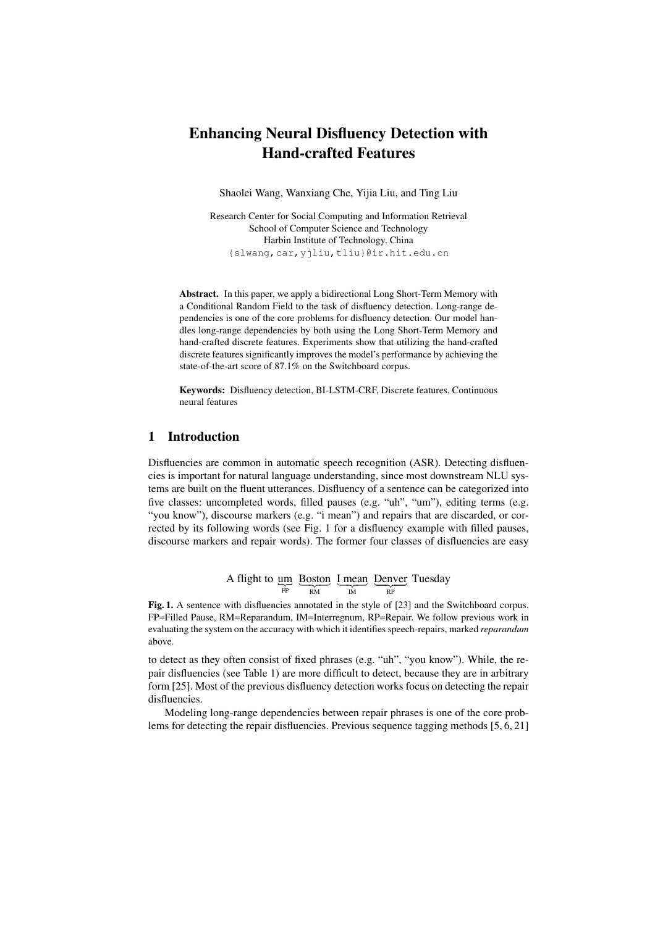# Enhancing Neural Disfluency Detection with Hand-crafted Features

Shaolei Wang, Wanxiang Che, Yijia Liu, and Ting Liu

Research Center for Social Computing and Information Retrieval School of Computer Science and Technology Harbin Institute of Technology, China {slwang,car,yjliu,tliu}@ir.hit.edu.cn

Abstract. In this paper, we apply a bidirectional Long Short-Term Memory with a Conditional Random Field to the task of disfluency detection. Long-range dependencies is one of the core problems for disfluency detection. Our model handles long-range dependencies by both using the Long Short-Term Memory and hand-crafted discrete features. Experiments show that utilizing the hand-crafted discrete features significantly improves the model's performance by achieving the state-of-the-art score of 87.1% on the Switchboard corpus.

Keywords: Disfluency detection, BI-LSTM-CRF, Discrete features, Continuous neural features

# 1 Introduction

Disfluencies are common in automatic speech recognition (ASR). Detecting disfluencies is important for natural language understanding, since most downstream NLU systems are built on the fluent utterances. Disfluency of a sentence can be categorized into five classes: uncompleted words, filled pauses (e.g. "uh", "um"), editing terms (e.g. "you know"), discourse markers (e.g. "i mean") and repairs that are discarded, or corrected by its following words (see Fig. 1 for a disfluency example with filled pauses, discourse markers and repair words). The former four classes of disfluencies are easy

> A flight to um Boston Linean Denver Tuesday FP  $\sqrt{N}$ IM  $\mathbb{P}^{\mathcal{L}}$

Fig. 1. A sentence with disfluencies annotated in the style of [23] and the Switchboard corpus. FP=Filled Pause, RM=Reparandum, IM=Interregnum, RP=Repair. We follow previous work in evaluating the system on the accuracy with which it identifies speech-repairs, marked *reparandum* above.

to detect as they often consist of fixed phrases (e.g. "uh", "you know"). While, the repair disfluencies (see Table 1) are more difficult to detect, because they are in arbitrary form [25]. Most of the previous disfluency detection works focus on detecting the repair disfluencies.

Modeling long-range dependencies between repair phrases is one of the core problems for detecting the repair disfluencies. Previous sequence tagging methods [5, 6, 21]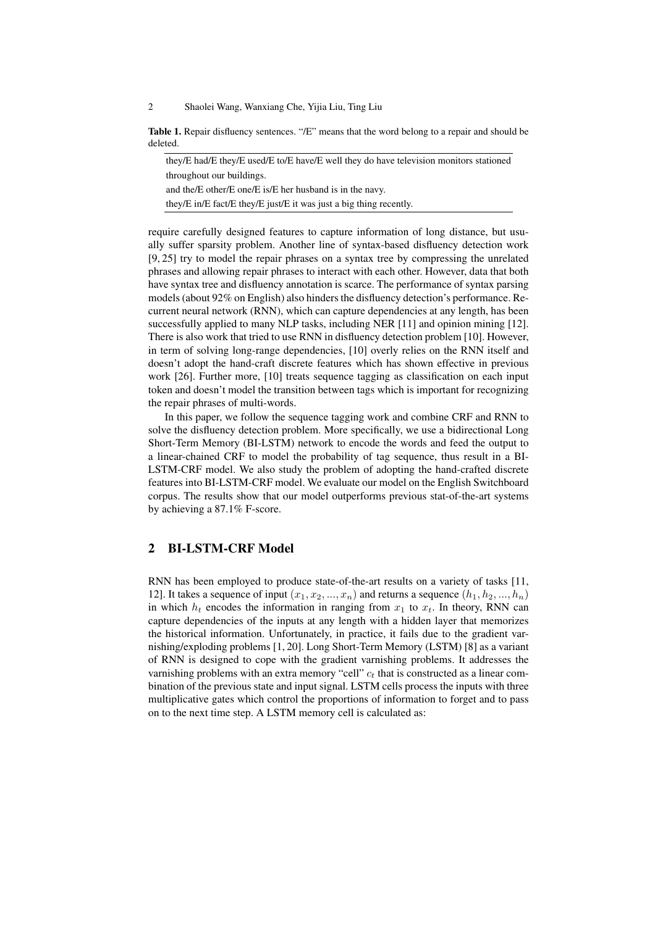2 Shaolei Wang, Wanxiang Che, Yijia Liu, Ting Liu

Table 1. Repair disfluency sentences. "/E" means that the word belong to a repair and should be deleted.

they/E had/E they/E used/E to/E have/E well they do have television monitors stationed throughout our buildings. and the/E other/E one/E is/E her husband is in the navy. they/E in/E fact/E they/E just/E it was just a big thing recently.

require carefully designed features to capture information of long distance, but usually suffer sparsity problem. Another line of syntax-based disfluency detection work [9, 25] try to model the repair phrases on a syntax tree by compressing the unrelated phrases and allowing repair phrases to interact with each other. However, data that both have syntax tree and disfluency annotation is scarce. The performance of syntax parsing models (about 92% on English) also hinders the disfluency detection's performance. Recurrent neural network (RNN), which can capture dependencies at any length, has been successfully applied to many NLP tasks, including NER [11] and opinion mining [12]. There is also work that tried to use RNN in disfluency detection problem [10]. However, in term of solving long-range dependencies, [10] overly relies on the RNN itself and doesn't adopt the hand-craft discrete features which has shown effective in previous work [26]. Further more, [10] treats sequence tagging as classification on each input token and doesn't model the transition between tags which is important for recognizing the repair phrases of multi-words.

In this paper, we follow the sequence tagging work and combine CRF and RNN to solve the disfluency detection problem. More specifically, we use a bidirectional Long Short-Term Memory (BI-LSTM) network to encode the words and feed the output to a linear-chained CRF to model the probability of tag sequence, thus result in a BI-LSTM-CRF model. We also study the problem of adopting the hand-crafted discrete features into BI-LSTM-CRF model. We evaluate our model on the English Switchboard corpus. The results show that our model outperforms previous stat-of-the-art systems by achieving a 87.1% F-score.

# 2 BI-LSTM-CRF Model

RNN has been employed to produce state-of-the-art results on a variety of tasks [11, 12]. It takes a sequence of input  $(x_1, x_2, ..., x_n)$  and returns a sequence  $(h_1, h_2, ..., h_n)$ in which  $h_t$  encodes the information in ranging from  $x_1$  to  $x_t$ . In theory, RNN can capture dependencies of the inputs at any length with a hidden layer that memorizes the historical information. Unfortunately, in practice, it fails due to the gradient varnishing/exploding problems [1, 20]. Long Short-Term Memory (LSTM) [8] as a variant of RNN is designed to cope with the gradient varnishing problems. It addresses the varnishing problems with an extra memory "cell" *c<sup>t</sup>* that is constructed as a linear combination of the previous state and input signal. LSTM cells process the inputs with three multiplicative gates which control the proportions of information to forget and to pass on to the next time step. A LSTM memory cell is calculated as: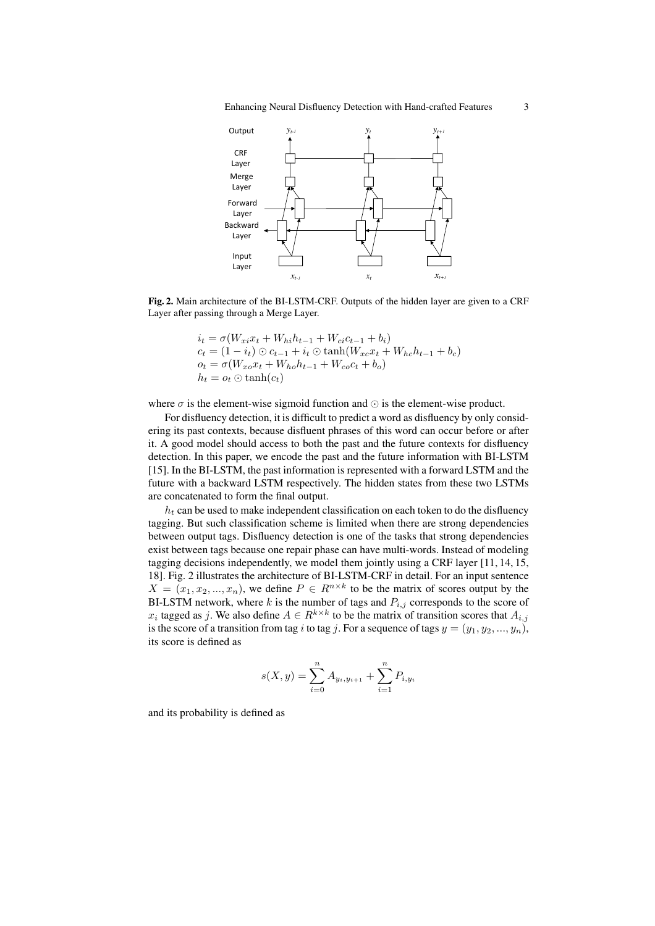Enhancing Neural Disfluency Detection with Hand-crafted Features 3



Fig. 2. Main architecture of the BI-LSTM-CRF. Outputs of the hidden layer are given to a CRF Layer after passing through a Merge Layer.

$$
i_t = \sigma(W_{xi}x_t + W_{hi}h_{t-1} + W_{ci}c_{t-1} + b_i)
$$
  
\n
$$
c_t = (1 - i_t) \odot c_{t-1} + i_t \odot \tanh(W_{xc}x_t + W_{hc}h_{t-1} + b_c)
$$
  
\n
$$
o_t = \sigma(W_{xo}x_t + W_{ho}h_{t-1} + W_{co}c_t + b_o)
$$
  
\n
$$
h_t = o_t \odot \tanh(c_t)
$$

where  $\sigma$  is the element-wise sigmoid function and  $\odot$  is the element-wise product.

For disfluency detection, it is difficult to predict a word as disfluency by only considering its past contexts, because disfluent phrases of this word can occur before or after it. A good model should access to both the past and the future contexts for disfluency detection. In this paper, we encode the past and the future information with BI-LSTM [15]. In the BI-LSTM, the past information is represented with a forward LSTM and the future with a backward LSTM respectively. The hidden states from these two LSTMs are concatenated to form the final output.

 $h_t$  can be used to make independent classification on each token to do the disfluency tagging. But such classification scheme is limited when there are strong dependencies between output tags. Disfluency detection is one of the tasks that strong dependencies exist between tags because one repair phase can have multi-words. Instead of modeling tagging decisions independently, we model them jointly using a CRF layer [11, 14, 15, 18]. Fig. 2 illustrates the architecture of BI-LSTM-CRF in detail. For an input sentence  $X = (x_1, x_2, ..., x_n)$ , we define  $P \in R^{n \times k}$  to be the matrix of scores output by the BI-LSTM network, where  $k$  is the number of tags and  $P_{i,j}$  corresponds to the score of *x*<sub>*i*</sub> tagged as *j*. We also define  $A \in R^{k \times k}$  to be the matrix of transition scores that  $A_{i,j}$ is the score of a transition from tag *i* to tag *j*. For a sequence of tags  $y = (y_1, y_2, ..., y_n)$ , its score is defined as

$$
s(X, y) = \sum_{i=0}^{n} A_{y_i, y_{i+1}} + \sum_{i=1}^{n} P_{i, y_i}
$$

and its probability is defined as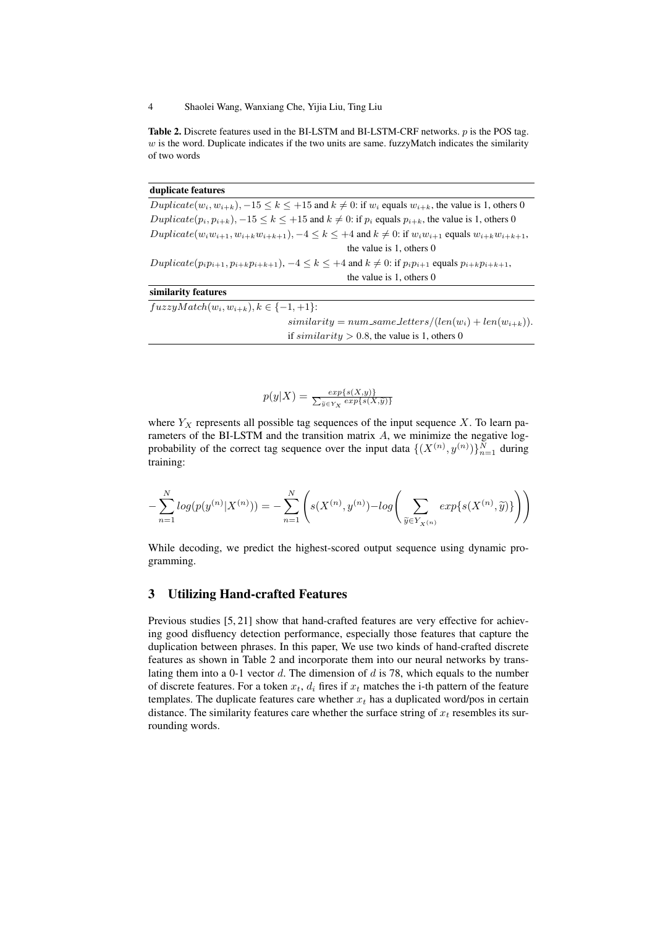Table 2. Discrete features used in the BI-LSTM and BI-LSTM-CRF networks. *p* is the POS tag. *w* is the word. Duplicate indicates if the two units are same. fuzzyMatch indicates the similarity of two words

#### duplicate features

*Duplicate*( $w_i, w_{i+k}$ ),  $-15 \le k \le +15$  and  $k \ne 0$ : if  $w_i$  equals  $w_{i+k}$ , the value is 1, others 0 *Duplicate*( $p_i$ ,  $p_{i+k}$ ),  $-15 \le k \le +15$  and  $k \ne 0$ : if  $p_i$  equals  $p_{i+k}$ , the value is 1, others 0  $Dupiterate(w_iw_{i+1}, w_{i+k}w_{i+k+1}), -4 \le k \le +4$  and  $k \ne 0$ : if  $w_iw_{i+1}$  equals  $w_{i+k}w_{i+k+1}$ , the value is 1, others 0  $Dupiterate(p_i p_{i+1}, p_{i+k} p_{i+k+1}), -4 \le k \le +4$  and  $k \ne 0$ : if  $p_i p_{i+1}$  equals  $p_{i+k} p_{i+k+1}$ , the value is 1, others 0 similarity features

| $fuzzyMatch(w_i, w_{i+k}), k \in \{-1, +1\}:$ |                                                              |
|-----------------------------------------------|--------------------------------------------------------------|
|                                               | $similarity = num\_same\_letters/(len(w_i) + len(w_{i+k})).$ |
|                                               | if $similarity > 0.8$ , the value is 1, others 0             |

$$
p(y|X) = \frac{\exp\{s(X,y)\}}{\sum_{\widetilde{y} \in Y_X} \exp\{s(X,\widetilde{y})\}}
$$

where  $Y_X$  represents all possible tag sequences of the input sequence  $X$ . To learn parameters of the BI-LSTM and the transition matrix *A*, we minimize the negative logprobability of the correct tag sequence over the input data  $\{(X^{(n)}, y^{(n)})\}_{n=1}^N$  during training:

$$
-\sum_{n=1}^{N} log(p(y^{(n)}|X^{(n)})) = -\sum_{n=1}^{N} \left(s(X^{(n)}, y^{(n)}) - log\left(\sum_{\widetilde{y} \in Y_{X^{(n)}}} exp\{s(X^{(n)}, \widetilde{y})\}\right)\right)
$$

While decoding, we predict the highest-scored output sequence using dynamic programming.

# 3 Utilizing Hand-crafted Features

Previous studies [5, 21] show that hand-crafted features are very effective for achieving good disfluency detection performance, especially those features that capture the duplication between phrases. In this paper, We use two kinds of hand-crafted discrete features as shown in Table 2 and incorporate them into our neural networks by translating them into a 0-1 vector *d*. The dimension of *d* is 78, which equals to the number of discrete features. For a token  $x_t$ ,  $d_i$  fires if  $x_t$  matches the i-th pattern of the feature templates. The duplicate features care whether  $x_t$  has a duplicated word/pos in certain distance. The similarity features care whether the surface string of  $x_t$  resembles its surrounding words.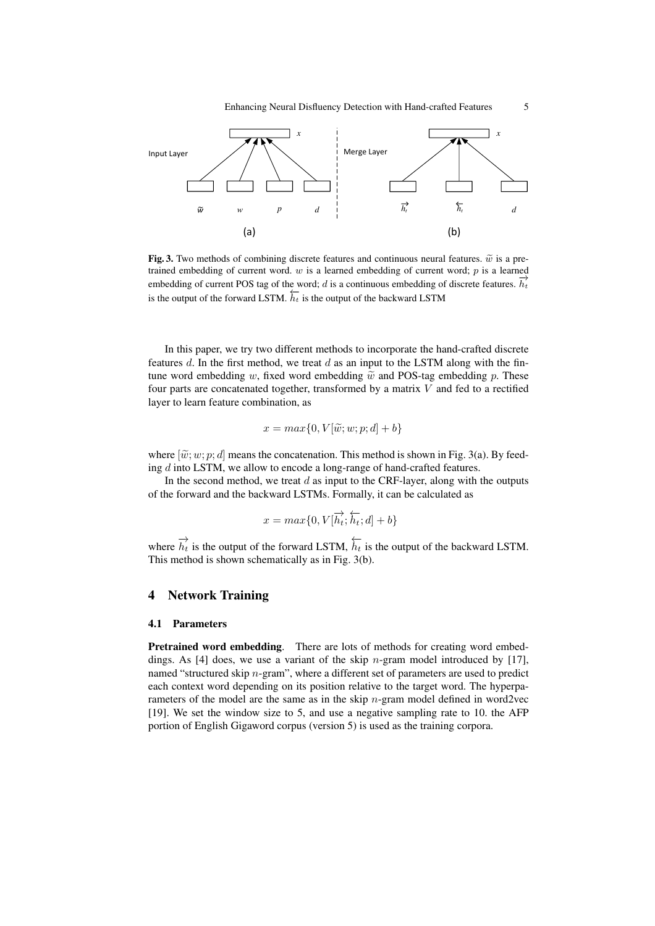

Fig. 3. Two methods of combining discrete features and continuous neural features.  $\tilde{w}$  is a pretrained embedding of current word. *w* is a learned embedding of current word; *p* is a learned embedding of current POS tag of the word; *d* is a continuous embedding of discrete features.  $\overrightarrow{h_t}$ is the output of the forward LSTM.  $h_t$  is the output of the backward LSTM

In this paper, we try two different methods to incorporate the hand-crafted discrete features *d*. In the first method, we treat *d* as an input to the LSTM along with the fintune word embedding *w*, fixed word embedding  $\tilde{w}$  and POS-tag embedding *p*. These four parts are concatenated together, transformed by a matrix *V* and fed to a rectified layer to learn feature combination, as

$$
x = max\{0, V[\widetilde{w}; w; p; d] + b\}
$$

where  $[\tilde{w}; w; p; d]$  means the concatenation. This method is shown in Fig. 3(a). By feeding *d* into LSTM, we allow to encode a long-range of hand-crafted features.

In the second method, we treat *d* as input to the CRF-layer, along with the outputs of the forward and the backward LSTMs. Formally, it can be calculated as

$$
x = max\{0, V[\overrightarrow{h_t}; \overleftarrow{h_t}; d] + b\}
$$

where  $\overrightarrow{h_t}$  is the output of the forward LSTM,  $\overleftarrow{h_t}$  is the output of the backward LSTM. This method is shown schematically as in Fig. 3(b).

# 4 Network Training

#### 4.1 Parameters

Pretrained word embedding. There are lots of methods for creating word embeddings. As [4] does, we use a variant of the skip *n*-gram model introduced by [17], named "structured skip *n*-gram", where a different set of parameters are used to predict each context word depending on its position relative to the target word. The hyperparameters of the model are the same as in the skip *n*-gram model defined in word2vec [19]. We set the window size to 5, and use a negative sampling rate to 10. the AFP portion of English Gigaword corpus (version 5) is used as the training corpora.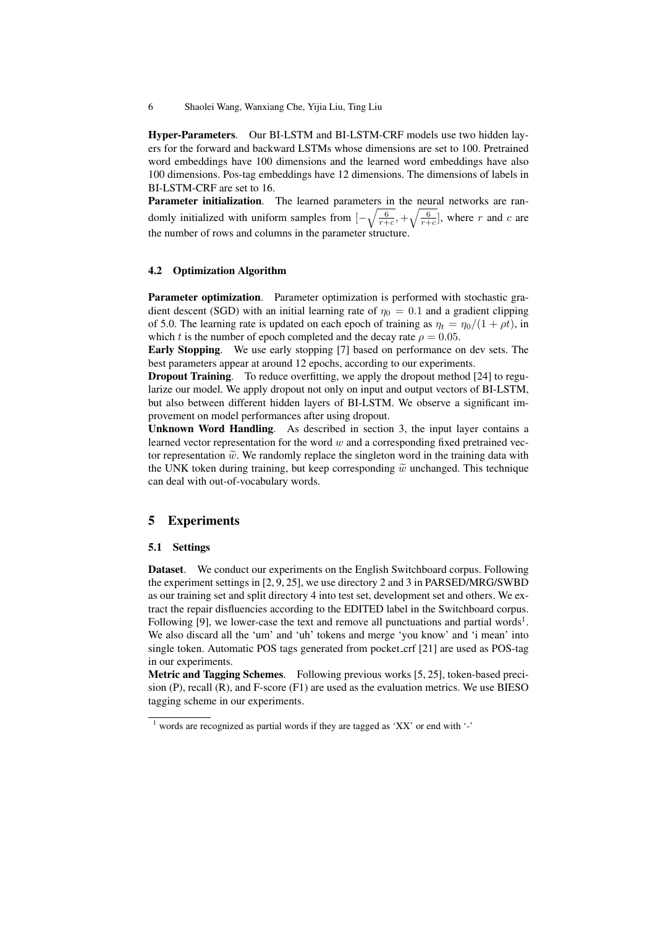6 Shaolei Wang, Wanxiang Che, Yijia Liu, Ting Liu

Hyper-Parameters. Our BI-LSTM and BI-LSTM-CRF models use two hidden layers for the forward and backward LSTMs whose dimensions are set to 100. Pretrained word embeddings have 100 dimensions and the learned word embeddings have also 100 dimensions. Pos-tag embeddings have 12 dimensions. The dimensions of labels in BI-LSTM-CRF are set to 16.

Parameter initialization. The learned parameters in the neural networks are randomly initialized with uniform samples from  $\left[-\sqrt{\frac{6}{r+c}}, +\sqrt{\frac{6}{r+c}}\right]$ , where *r* and *c* are the number of rows and columns in the parameter structure.

#### 4.2 Optimization Algorithm

Parameter optimization. Parameter optimization is performed with stochastic gradient descent (SGD) with an initial learning rate of  $\eta_0 = 0.1$  and a gradient clipping of 5.0. The learning rate is updated on each epoch of training as  $\eta_t = \eta_0/(1 + \rho t)$ , in which *t* is the number of epoch completed and the decay rate  $\rho = 0.05$ .

Early Stopping. We use early stopping [7] based on performance on dev sets. The best parameters appear at around 12 epochs, according to our experiments.

**Dropout Training.** To reduce overfitting, we apply the dropout method [24] to regularize our model. We apply dropout not only on input and output vectors of BI-LSTM, but also between different hidden layers of BI-LSTM. We observe a significant improvement on model performances after using dropout.

Unknown Word Handling. As described in section 3, the input layer contains a learned vector representation for the word *w* and a corresponding fixed pretrained vector representation  $\tilde{w}$ . We randomly replace the singleton word in the training data with the UNK token during training, but keep corresponding  $\tilde{w}$  unchanged. This technique can deal with out-of-vocabulary words.

# 5 Experiments

#### 5.1 Settings

Dataset. We conduct our experiments on the English Switchboard corpus. Following the experiment settings in [2, 9, 25], we use directory 2 and 3 in PARSED/MRG/SWBD as our training set and split directory 4 into test set, development set and others. We extract the repair disfluencies according to the EDITED label in the Switchboard corpus. Following [9], we lower-case the text and remove all punctuations and partial words<sup>1</sup>. We also discard all the 'um' and 'uh' tokens and merge 'you know' and 'i mean' into single token. Automatic POS tags generated from pocket crf [21] are used as POS-tag in our experiments.

Metric and Tagging Schemes. Following previous works [5, 25], token-based precision  $(P)$ , recall  $(R)$ , and  $F-score (F1)$  are used as the evaluation metrics. We use BIESO tagging scheme in our experiments.

 $1$  words are recognized as partial words if they are tagged as 'XX' or end with '-'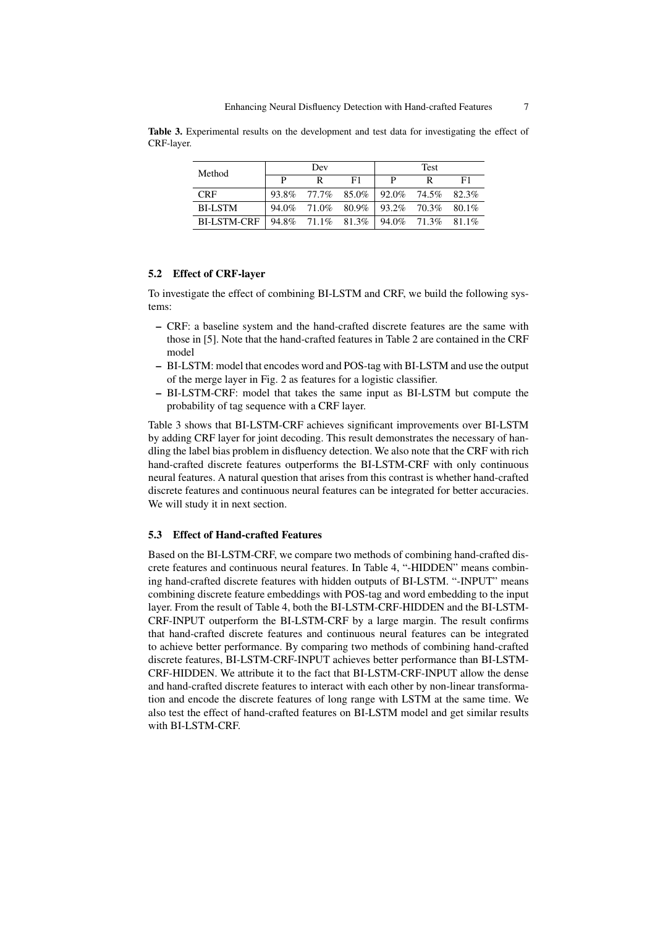| Method             | Dev   |                   |       | <b>Test</b>     |       |       |  |
|--------------------|-------|-------------------|-------|-----------------|-------|-------|--|
|                    | P     | R                 | F1    | P               | R     | F1    |  |
| <b>CRF</b>         | 93.8% | 77.7%             | 85.0% | $192.0\%$       | 74.5% | 82.3% |  |
| <b>BI-LSTM</b>     | 94.0% | 71.0%             | 80.9% | $93.2\%$ 70.3%  |       | 80.1% |  |
| <b>BI-LSTM-CRF</b> |       | 94.8% 71.1% 81.3% |       | $94.0\%$ 71.3\% |       | 81.1% |  |

Table 3. Experimental results on the development and test data for investigating the effect of CRF-layer.

#### 5.2 Effect of CRF-layer

To investigate the effect of combining BI-LSTM and CRF, we build the following systems:

- CRF: a baseline system and the hand-crafted discrete features are the same with those in [5]. Note that the hand-crafted features in Table 2 are contained in the CRF model
- BI-LSTM: model that encodes word and POS-tag with BI-LSTM and use the output of the merge layer in Fig. 2 as features for a logistic classifier.
- BI-LSTM-CRF: model that takes the same input as BI-LSTM but compute the probability of tag sequence with a CRF layer.

Table 3 shows that BI-LSTM-CRF achieves significant improvements over BI-LSTM by adding CRF layer for joint decoding. This result demonstrates the necessary of handling the label bias problem in disfluency detection. We also note that the CRF with rich hand-crafted discrete features outperforms the BI-LSTM-CRF with only continuous neural features. A natural question that arises from this contrast is whether hand-crafted discrete features and continuous neural features can be integrated for better accuracies. We will study it in next section.

# 5.3 Effect of Hand-crafted Features

Based on the BI-LSTM-CRF, we compare two methods of combining hand-crafted discrete features and continuous neural features. In Table 4, "-HIDDEN" means combining hand-crafted discrete features with hidden outputs of BI-LSTM. "-INPUT" means combining discrete feature embeddings with POS-tag and word embedding to the input layer. From the result of Table 4, both the BI-LSTM-CRF-HIDDEN and the BI-LSTM-CRF-INPUT outperform the BI-LSTM-CRF by a large margin. The result confirms that hand-crafted discrete features and continuous neural features can be integrated to achieve better performance. By comparing two methods of combining hand-crafted discrete features, BI-LSTM-CRF-INPUT achieves better performance than BI-LSTM-CRF-HIDDEN. We attribute it to the fact that BI-LSTM-CRF-INPUT allow the dense and hand-crafted discrete features to interact with each other by non-linear transformation and encode the discrete features of long range with LSTM at the same time. We also test the effect of hand-crafted features on BI-LSTM model and get similar results with BI-LSTM-CRF.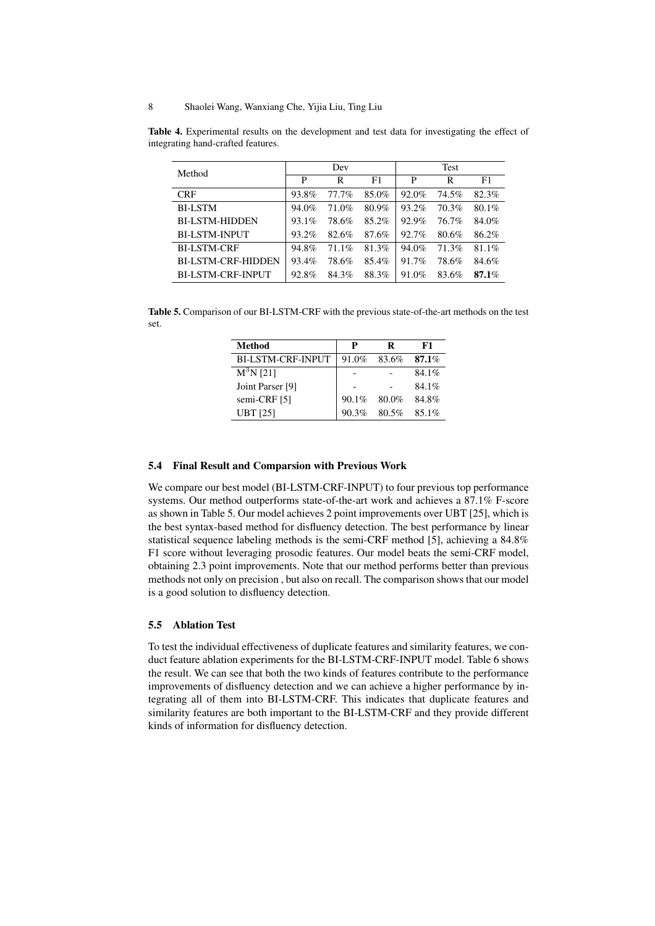| Method                    | Dev   |          |       | Test  |       |          |
|---------------------------|-------|----------|-------|-------|-------|----------|
|                           | P     | R        | F1    | P     | R     | F1       |
| <b>CRF</b>                | 93.8% | 77.7%    | 85.0% | 92.0% | 74.5% | 82.3%    |
| <b>BI-LSTM</b>            | 94.0% | 71.0%    | 80.9% | 93.2% | 70.3% | 80.1%    |
| <b>BI-LSTM-HIDDEN</b>     | 93.1% | 78.6%    | 85.2% | 92.9% | 76.7% | 84.0%    |
| <b>BI-LSTM-INPUT</b>      | 93.2% | 82.6%    | 87.6% | 92.7% | 80.6% | 86.2%    |
| <b>BI-LSTM-CRF</b>        | 94.8% | $71.1\%$ | 81.3% | 94.0% | 71.3% | $81.1\%$ |
| <b>BI-LSTM-CRF-HIDDEN</b> | 93.4% | 78.6%    | 85.4% | 91.7% | 78.6% | 84.6%    |
| <b>BI-LSTM-CRF-INPUT</b>  | 92.8% | 84.3%    | 88.3% | 91.0% | 83.6% | 87.1%    |

Table 4. Experimental results on the development and test data for investigating the effect of integrating hand-crafted features.

Table 5. Comparison of our BI-LSTM-CRF with the previous state-of-the-art methods on the test set.

| Method                   | P        | R     | F1       |
|--------------------------|----------|-------|----------|
| <b>BI-LSTM-CRF-INPUT</b> | 91.0%    | 83.6% | $87.1\%$ |
| $M^3N$ [21]              |          |       | 84.1%    |
| Joint Parser [9]         |          |       | $84.1\%$ |
| semi-CRF [5]             | $90.1\%$ | 80.0% | 84.8%    |
| <b>UBT</b> [25]          | 90.3%    | 80.5% | 85.1%    |

#### 5.4 Final Result and Comparsion with Previous Work

We compare our best model (BI-LSTM-CRF-INPUT) to four previous top performance systems. Our method outperforms state-of-the-art work and achieves a 87.1% F-score as shown in Table 5. Our model achieves 2 point improvements over UBT [25], which is the best syntax-based method for disfluency detection. The best performance by linear statistical sequence labeling methods is the semi-CRF method [5], achieving a 84.8% F1 score without leveraging prosodic features. Our model beats the semi-CRF model, obtaining 2.3 point improvements. Note that our method performs better than previous methods not only on precision , but also on recall. The comparison shows that our model is a good solution to disfluency detection.

# 5.5 Ablation Test

To test the individual effectiveness of duplicate features and similarity features, we conduct feature ablation experiments for the BI-LSTM-CRF-INPUT model. Table 6 shows the result. We can see that both the two kinds of features contribute to the performance improvements of disfluency detection and we can achieve a higher performance by integrating all of them into BI-LSTM-CRF. This indicates that duplicate features and similarity features are both important to the BI-LSTM-CRF and they provide different kinds of information for disfluency detection.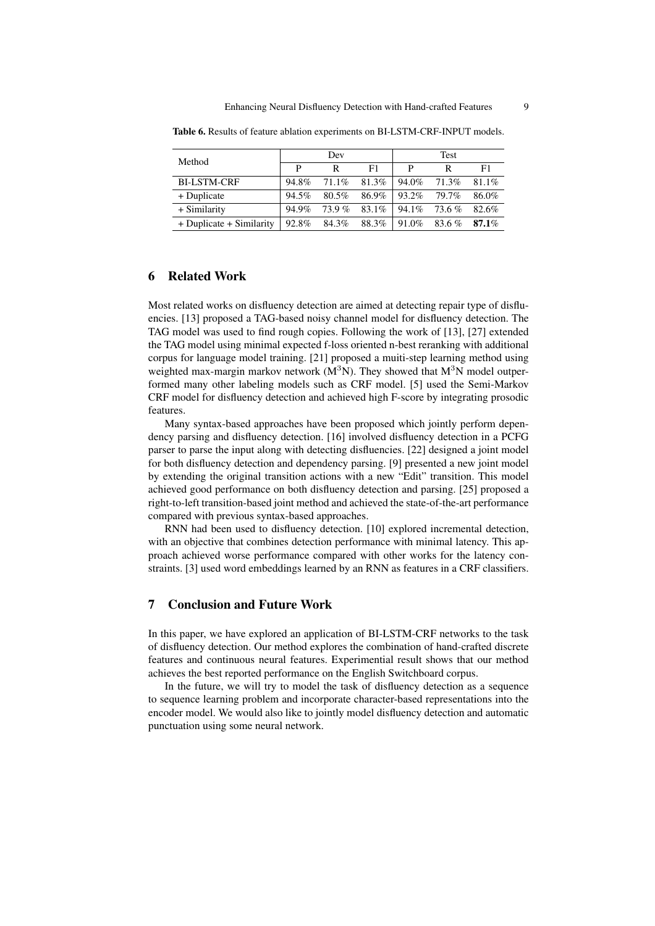| Method                   | Dev   |          |       | Test     |       |       |
|--------------------------|-------|----------|-------|----------|-------|-------|
|                          | P     | R        | F1    | P        |       | F1    |
| <b>BI-LSTM-CRF</b>       | 94.8% | 71.1%    | 81.3% | 94.0%    | 71.3% | 81.1% |
| + Duplicate              | 94.5% | 80.5%    | 86.9% | 93.2%    | 79.7% | 86.0% |
| + Similarity             | 94.9% | $73.9\%$ | 83.1% | $94.1\%$ | 73.6% | 82.6% |
| + Duplicate + Similarity | 92.8% | 84.3%    | 88.3% | 91.0%    | 83.6% | 87.1% |

Table 6. Results of feature ablation experiments on BI-LSTM-CRF-INPUT models.

# 6 Related Work

Most related works on disfluency detection are aimed at detecting repair type of disfluencies. [13] proposed a TAG-based noisy channel model for disfluency detection. The TAG model was used to find rough copies. Following the work of [13], [27] extended the TAG model using minimal expected f-loss oriented n-best reranking with additional corpus for language model training. [21] proposed a muiti-step learning method using weighted max-margin markov network  $(M^{3}N)$ . They showed that  $M^{3}N$  model outperformed many other labeling models such as CRF model. [5] used the Semi-Markov CRF model for disfluency detection and achieved high F-score by integrating prosodic features.

Many syntax-based approaches have been proposed which jointly perform dependency parsing and disfluency detection. [16] involved disfluency detection in a PCFG parser to parse the input along with detecting disfluencies. [22] designed a joint model for both disfluency detection and dependency parsing. [9] presented a new joint model by extending the original transition actions with a new "Edit" transition. This model achieved good performance on both disfluency detection and parsing. [25] proposed a right-to-left transition-based joint method and achieved the state-of-the-art performance compared with previous syntax-based approaches.

RNN had been used to disfluency detection. [10] explored incremental detection, with an objective that combines detection performance with minimal latency. This approach achieved worse performance compared with other works for the latency constraints. [3] used word embeddings learned by an RNN as features in a CRF classifiers.

# 7 Conclusion and Future Work

In this paper, we have explored an application of BI-LSTM-CRF networks to the task of disfluency detection. Our method explores the combination of hand-crafted discrete features and continuous neural features. Experimential result shows that our method achieves the best reported performance on the English Switchboard corpus.

In the future, we will try to model the task of disfluency detection as a sequence to sequence learning problem and incorporate character-based representations into the encoder model. We would also like to jointly model disfluency detection and automatic punctuation using some neural network.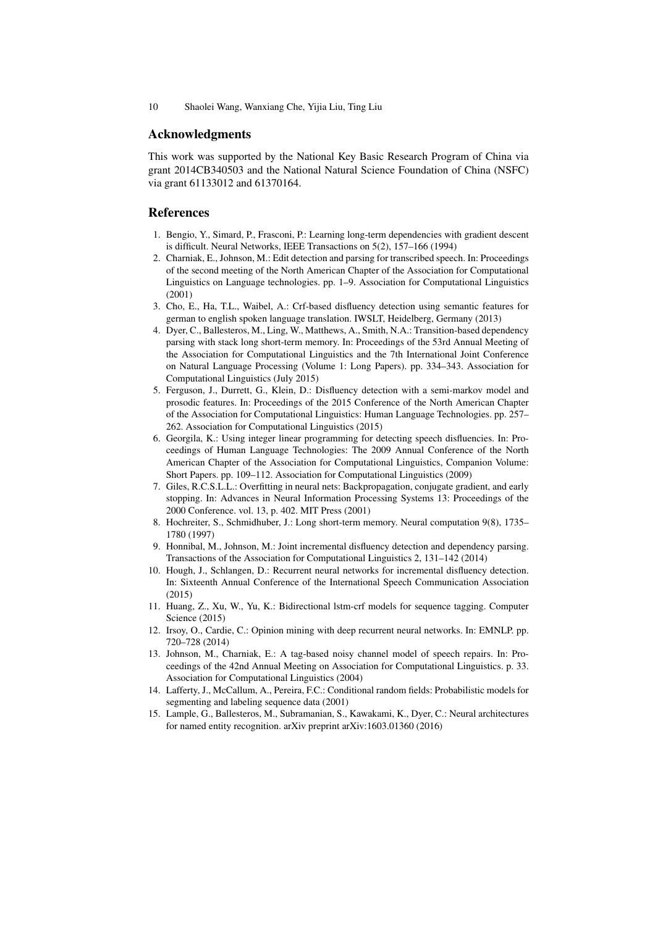10 Shaolei Wang, Wanxiang Che, Yijia Liu, Ting Liu

# Acknowledgments

This work was supported by the National Key Basic Research Program of China via grant 2014CB340503 and the National Natural Science Foundation of China (NSFC) via grant 61133012 and 61370164.

# **References**

- 1. Bengio, Y., Simard, P., Frasconi, P.: Learning long-term dependencies with gradient descent is difficult. Neural Networks, IEEE Transactions on 5(2), 157–166 (1994)
- 2. Charniak, E., Johnson, M.: Edit detection and parsing for transcribed speech. In: Proceedings of the second meeting of the North American Chapter of the Association for Computational Linguistics on Language technologies. pp. 1–9. Association for Computational Linguistics (2001)
- 3. Cho, E., Ha, T.L., Waibel, A.: Crf-based disfluency detection using semantic features for german to english spoken language translation. IWSLT, Heidelberg, Germany (2013)
- 4. Dyer, C., Ballesteros, M., Ling, W., Matthews, A., Smith, N.A.: Transition-based dependency parsing with stack long short-term memory. In: Proceedings of the 53rd Annual Meeting of the Association for Computational Linguistics and the 7th International Joint Conference on Natural Language Processing (Volume 1: Long Papers). pp. 334–343. Association for Computational Linguistics (July 2015)
- 5. Ferguson, J., Durrett, G., Klein, D.: Disfluency detection with a semi-markov model and prosodic features. In: Proceedings of the 2015 Conference of the North American Chapter of the Association for Computational Linguistics: Human Language Technologies. pp. 257– 262. Association for Computational Linguistics (2015)
- 6. Georgila, K.: Using integer linear programming for detecting speech disfluencies. In: Proceedings of Human Language Technologies: The 2009 Annual Conference of the North American Chapter of the Association for Computational Linguistics, Companion Volume: Short Papers. pp. 109–112. Association for Computational Linguistics (2009)
- 7. Giles, R.C.S.L.L.: Overfitting in neural nets: Backpropagation, conjugate gradient, and early stopping. In: Advances in Neural Information Processing Systems 13: Proceedings of the 2000 Conference. vol. 13, p. 402. MIT Press (2001)
- 8. Hochreiter, S., Schmidhuber, J.: Long short-term memory. Neural computation 9(8), 1735– 1780 (1997)
- 9. Honnibal, M., Johnson, M.: Joint incremental disfluency detection and dependency parsing. Transactions of the Association for Computational Linguistics 2, 131–142 (2014)
- 10. Hough, J., Schlangen, D.: Recurrent neural networks for incremental disfluency detection. In: Sixteenth Annual Conference of the International Speech Communication Association (2015)
- 11. Huang, Z., Xu, W., Yu, K.: Bidirectional lstm-crf models for sequence tagging. Computer Science (2015)
- 12. Irsoy, O., Cardie, C.: Opinion mining with deep recurrent neural networks. In: EMNLP. pp. 720–728 (2014)
- 13. Johnson, M., Charniak, E.: A tag-based noisy channel model of speech repairs. In: Proceedings of the 42nd Annual Meeting on Association for Computational Linguistics. p. 33. Association for Computational Linguistics (2004)
- 14. Lafferty, J., McCallum, A., Pereira, F.C.: Conditional random fields: Probabilistic models for segmenting and labeling sequence data (2001)
- 15. Lample, G., Ballesteros, M., Subramanian, S., Kawakami, K., Dyer, C.: Neural architectures for named entity recognition. arXiv preprint arXiv:1603.01360 (2016)